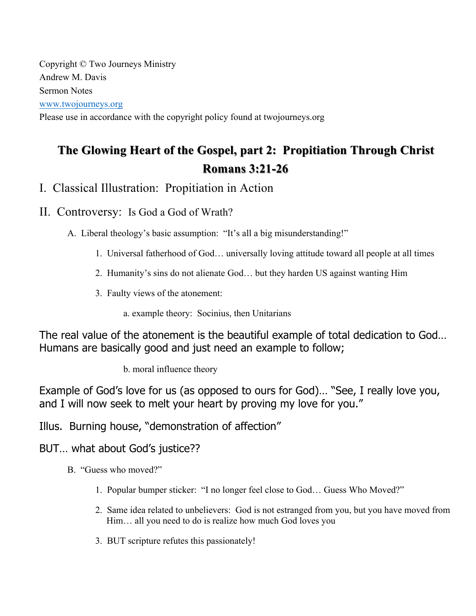Copyright © Two Journeys Ministry Andrew M. Davis Sermon Notes www.twojourneys.org

Please use in accordance with the copyright policy found at twojourneys.org

# The Glowing Heart of the Gospel, part 2: Propitiation Through Christ **Romans 3:21 Romans 3:21-26**

# I. Classical Illustration: Propitiation in Action

### II. Controversy: Is God a God of Wrath?

A. Liberal theology's basic assumption: "It's all a big misunderstanding!"

- 1. Universal fatherhood of God… universally loving attitude toward all people at all times
- 2. Humanity's sins do not alienate God… but they harden US against wanting Him
- 3. Faulty views of the atonement:
	- a. example theory: Socinius, then Unitarians

The real value of the atonement is the beautiful example of total dedication to God… Humans are basically good and just need an example to follow;

b. moral influence theory

Example of God's love for us (as opposed to ours for God)… "See, I really love you, and I will now seek to melt your heart by proving my love for you."

Illus. Burning house, "demonstration of affection"

BUT… what about God's justice??

- B. "Guess who moved?"
	- 1. Popular bumper sticker: "I no longer feel close to God… Guess Who Moved?"
	- 2. Same idea related to unbelievers: God is not estranged from you, but you have moved from Him… all you need to do is realize how much God loves you
	- 3. BUT scripture refutes this passionately!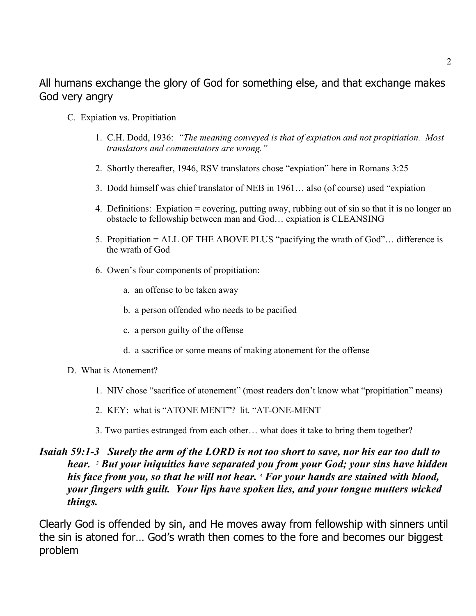# All humans exchange the glory of God for something else, and that exchange makes God very angry

- C. Expiation vs. Propitiation
	- 1. C.H. Dodd, 1936: *"The meaning conveyed is that of expiation and not propitiation. Most translators and commentators are wrong."*
	- 2. Shortly thereafter, 1946, RSV translators chose "expiation" here in Romans 3:25
	- 3. Dodd himself was chief translator of NEB in 1961… also (of course) used "expiation
	- 4. Definitions: Expiation = covering, putting away, rubbing out of sin so that it is no longer an obstacle to fellowship between man and God… expiation is CLEANSING
	- 5. Propitiation = ALL OF THE ABOVE PLUS "pacifying the wrath of God"… difference is the wrath of God
	- 6. Owen's four components of propitiation:
		- a. an offense to be taken away
		- b. a person offended who needs to be pacified
		- c. a person guilty of the offense
		- d. a sacrifice or some means of making atonement for the offense
- D. What is Atonement?
	- 1. NIV chose "sacrifice of atonement" (most readers don't know what "propitiation" means)
	- 2. KEY: what is "ATONE MENT"? lit. "AT-ONE-MENT
	- 3. Two parties estranged from each other… what does it take to bring them together?

### *Isaiah 59:1-3 Surely the arm of the LORD is not too short to save, nor his ear too dull to hear. 2 But your iniquities have separated you from your God; your sins have hidden his face from you, so that he will not hear. 3 For your hands are stained with blood, your fingers with guilt. Your lips have spoken lies, and your tongue mutters wicked things.*

Clearly God is offended by sin, and He moves away from fellowship with sinners until the sin is atoned for… God's wrath then comes to the fore and becomes our biggest problem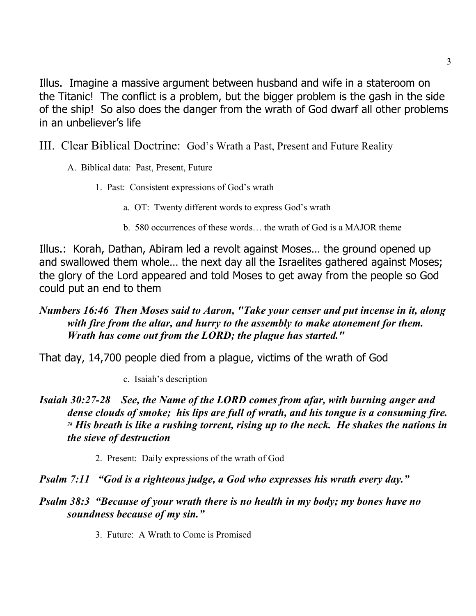Illus. Imagine a massive argument between husband and wife in a stateroom on the Titanic! The conflict is a problem, but the bigger problem is the gash in the side of the ship! So also does the danger from the wrath of God dwarf all other problems in an unbeliever's life

- III. Clear Biblical Doctrine: God's Wrath a Past, Present and Future Reality
	- A. Biblical data: Past, Present, Future
		- 1. Past: Consistent expressions of God's wrath
			- a. OT: Twenty different words to express God's wrath
			- b. 580 occurrences of these words… the wrath of God is a MAJOR theme

Illus.: Korah, Dathan, Abiram led a revolt against Moses… the ground opened up and swallowed them whole… the next day all the Israelites gathered against Moses; the glory of the Lord appeared and told Moses to get away from the people so God could put an end to them

### *Numbers 16:46 Then Moses said to Aaron, "Take your censer and put incense in it, along with fire from the altar, and hurry to the assembly to make atonement for them. Wrath has come out from the LORD; the plague has started."*

That day, 14,700 people died from a plague, victims of the wrath of God

c. Isaiah's description

- *Isaiah 30:27-28 See, the Name of the LORD comes from afar, with burning anger and dense clouds of smoke; his lips are full of wrath, and his tongue is a consuming fire. <sup>28</sup> His breath is like a rushing torrent, rising up to the neck. He shakes the nations in the sieve of destruction*
	- 2. Present: Daily expressions of the wrath of God
- *Psalm 7:11 "God is a righteous judge, a God who expresses his wrath every day."*
- *Psalm 38:3 "Because of your wrath there is no health in my body; my bones have no soundness because of my sin."*
	- 3. Future: A Wrath to Come is Promised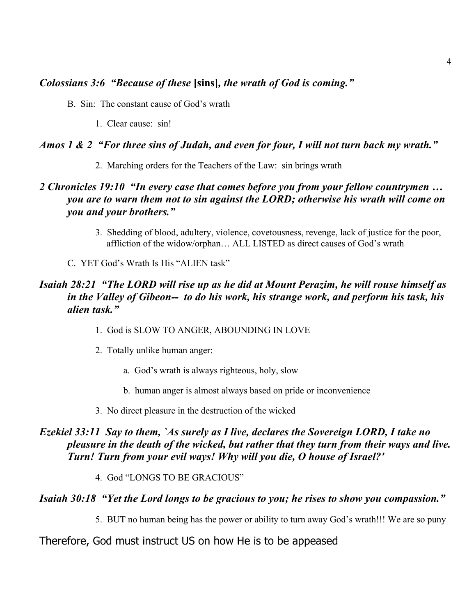#### *Colossians 3:6 "Because of these* **[sins]***, the wrath of God is coming."*

- B. Sin: The constant cause of God's wrath
	- 1. Clear cause: sin!

#### *Amos 1 & 2 "For three sins of Judah, and even for four, I will not turn back my wrath."*

2. Marching orders for the Teachers of the Law: sin brings wrath

### *2 Chronicles 19:10 "In every case that comes before you from your fellow countrymen … you are to warn them not to sin against the LORD; otherwise his wrath will come on you and your brothers."*

- 3. Shedding of blood, adultery, violence, covetousness, revenge, lack of justice for the poor, affliction of the widow/orphan… ALL LISTED as direct causes of God's wrath
- C. YET God's Wrath Is His "ALIEN task"

### *Isaiah 28:21 "The LORD will rise up as he did at Mount Perazim, he will rouse himself as in the Valley of Gibeon-- to do his work, his strange work, and perform his task, his alien task."*

- 1. God is SLOW TO ANGER, ABOUNDING IN LOVE
- 2. Totally unlike human anger:
	- a. God's wrath is always righteous, holy, slow
	- b. human anger is almost always based on pride or inconvenience
- 3. No direct pleasure in the destruction of the wicked

### *Ezekiel 33:11 Say to them, `As surely as I live, declares the Sovereign LORD, I take no pleasure in the death of the wicked, but rather that they turn from their ways and live. Turn! Turn from your evil ways! Why will you die, O house of Israel?'*

4. God "LONGS TO BE GRACIOUS"

#### *Isaiah 30:18 "Yet the Lord longs to be gracious to you; he rises to show you compassion."*

5. BUT no human being has the power or ability to turn away God's wrath!!! We are so puny

#### Therefore, God must instruct US on how He is to be appeased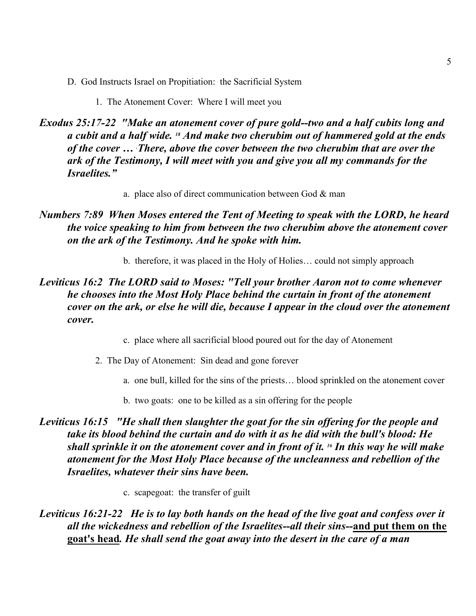- D. God Instructs Israel on Propitiation: the Sacrificial System
	- 1. The Atonement Cover: Where I will meet you

*Exodus 25:17-22 "Make an atonement cover of pure gold--two and a half cubits long and a cubit and a half wide. 18 And make two cherubim out of hammered gold at the ends of the cover … . There, above the cover between the two cherubim that are over the ark of the Testimony, I will meet with you and give you all my commands for the Israelites."*

a. place also of direct communication between God & man

### *Numbers 7:89 When Moses entered the Tent of Meeting to speak with the LORD, he heard the voice speaking to him from between the two cherubim above the atonement cover on the ark of the Testimony. And he spoke with him.*

b. therefore, it was placed in the Holy of Holies… could not simply approach

### *Leviticus 16:2 The LORD said to Moses: "Tell your brother Aaron not to come whenever he chooses into the Most Holy Place behind the curtain in front of the atonement cover on the ark, or else he will die, because I appear in the cloud over the atonement cover.*

- c. place where all sacrificial blood poured out for the day of Atonement
- 2. The Day of Atonement: Sin dead and gone forever
	- a. one bull, killed for the sins of the priests… blood sprinkled on the atonement cover
	- b. two goats: one to be killed as a sin offering for the people

### *Leviticus 16:15 "He shall then slaughter the goat for the sin offering for the people and take its blood behind the curtain and do with it as he did with the bull's blood: He shall sprinkle it on the atonement cover and in front of it. 16 In this way he will make atonement for the Most Holy Place because of the uncleanness and rebellion of the Israelites, whatever their sins have been.*

c. scapegoat: the transfer of guilt

### *Leviticus 16:21-22 He is to lay both hands on the head of the live goat and confess over it all the wickedness and rebellion of the Israelites--all their sins--***and put them on the goat's head***. He shall send the goat away into the desert in the care of a man*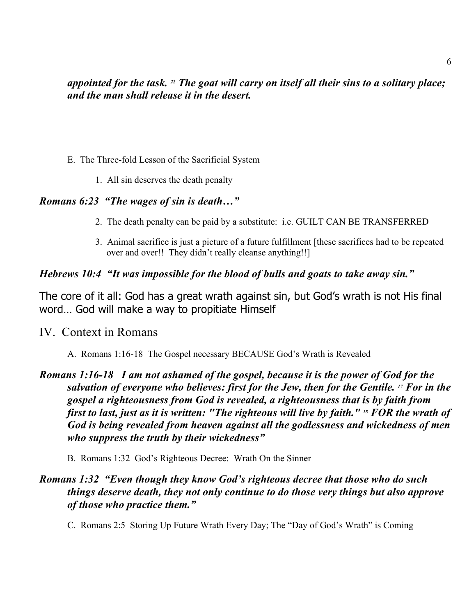### *appointed for the task. 22 The goat will carry on itself all their sins to a solitary place; and the man shall release it in the desert.*

- E. The Three-fold Lesson of the Sacrificial System
	- 1. All sin deserves the death penalty

### *Romans 6:23 "The wages of sin is death…"*

- 2. The death penalty can be paid by a substitute: i.e. GUILT CAN BE TRANSFERRED
- 3. Animal sacrifice is just a picture of a future fulfillment [these sacrifices had to be repeated over and over!! They didn't really cleanse anything!!]

#### *Hebrews 10:4 "It was impossible for the blood of bulls and goats to take away sin."*

The core of it all: God has a great wrath against sin, but God's wrath is not His final word… God will make a way to propitiate Himself

### IV. Context in Romans

A. Romans 1:16-18 The Gospel necessary BECAUSE God's Wrath is Revealed

### *Romans 1:16-18 I am not ashamed of the gospel, because it is the power of God for the salvation of everyone who believes: first for the Jew, then for the Gentile. 17 For in the gospel a righteousness from God is revealed, a righteousness that is by faith from first to last, just as it is written: "The righteous will live by faith." 18 FOR the wrath of God is being revealed from heaven against all the godlessness and wickedness of men who suppress the truth by their wickedness"*

B. Romans 1:32 God's Righteous Decree: Wrath On the Sinner

### *Romans 1:32 "Even though they know God's righteous decree that those who do such things deserve death, they not only continue to do those very things but also approve of those who practice them."*

C. Romans 2:5 Storing Up Future Wrath Every Day; The "Day of God's Wrath" is Coming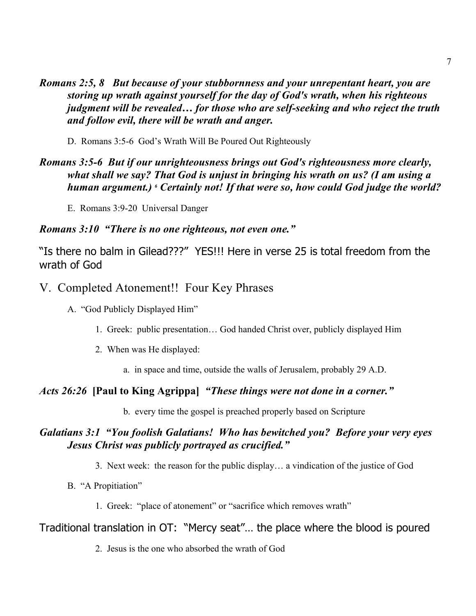*Romans 2:5, 8 But because of your stubbornness and your unrepentant heart, you are storing up wrath against yourself for the day of God's wrath, when his righteous judgment will be revealed… for those who are self-seeking and who reject the truth and follow evil, there will be wrath and anger.*

D. Romans 3:5-6 God's Wrath Will Be Poured Out Righteously

### *Romans 3:5-6 But if our unrighteousness brings out God's righteousness more clearly, what shall we say? That God is unjust in bringing his wrath on us? (I am using a human argument.) 6 Certainly not! If that were so, how could God judge the world?*

E. Romans 3:9-20 Universal Danger

### *Romans 3:10 "There is no one righteous, not even one."*

"Is there no balm in Gilead???" YES!!! Here in verse 25 is total freedom from the wrath of God

V. Completed Atonement!! Four Key Phrases

A. "God Publicly Displayed Him"

- 1. Greek: public presentation… God handed Christ over, publicly displayed Him
- 2. When was He displayed:
	- a. in space and time, outside the walls of Jerusalem, probably 29 A.D.

### *Acts 26:26* **[Paul to King Agrippa]** *"These things were not done in a corner."*

b. every time the gospel is preached properly based on Scripture

### *Galatians 3:1 "You foolish Galatians! Who has bewitched you? Before your very eyes Jesus Christ was publicly portrayed as crucified."*

- 3. Next week: the reason for the public display… a vindication of the justice of God
- B. "A Propitiation"
	- 1. Greek: "place of atonement" or "sacrifice which removes wrath"

### Traditional translation in OT: "Mercy seat"… the place where the blood is poured

2. Jesus is the one who absorbed the wrath of God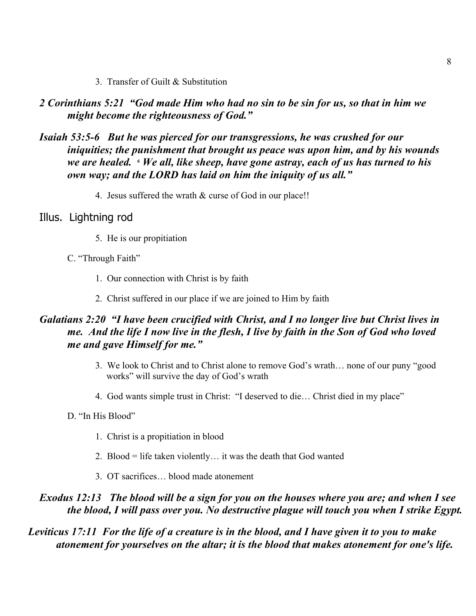3. Transfer of Guilt & Substitution

*2 Corinthians 5:21 "God made Him who had no sin to be sin for us, so that in him we might become the righteousness of God."*

### *Isaiah 53:5-6 But he was pierced for our transgressions, he was crushed for our iniquities; the punishment that brought us peace was upon him, and by his wounds we are healed. 6 We all, like sheep, have gone astray, each of us has turned to his own way; and the LORD has laid on him the iniquity of us all."*

4. Jesus suffered the wrath & curse of God in our place!!

### Illus. Lightning rod

- 5. He is our propitiation
- C. "Through Faith"
	- 1. Our connection with Christ is by faith
	- 2. Christ suffered in our place if we are joined to Him by faith

### *Galatians 2:20 "I have been crucified with Christ, and I no longer live but Christ lives in me. And the life I now live in the flesh, I live by faith in the Son of God who loved me and gave Himself for me."*

- 3. We look to Christ and to Christ alone to remove God's wrath… none of our puny "good works" will survive the day of God's wrath
- 4. God wants simple trust in Christ: "I deserved to die… Christ died in my place"
- D. "In His Blood"
	- 1. Christ is a propitiation in blood
	- 2. Blood = life taken violently… it was the death that God wanted
	- 3. OT sacrifices… blood made atonement

#### *Exodus 12:13 The blood will be a sign for you on the houses where you are; and when I see the blood, I will pass over you. No destructive plague will touch you when I strike Egypt.*

### *Leviticus 17:11 For the life of a creature is in the blood, and I have given it to you to make atonement for yourselves on the altar; it is the blood that makes atonement for one's life.*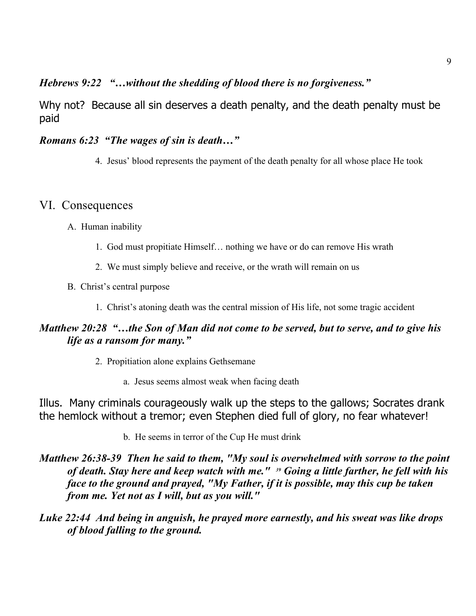### *Hebrews 9:22 "…without the shedding of blood there is no forgiveness."*

Why not? Because all sin deserves a death penalty, and the death penalty must be paid

#### *Romans 6:23 "The wages of sin is death…"*

4. Jesus' blood represents the payment of the death penalty for all whose place He took

### VI. Consequences

- A. Human inability
	- 1. God must propitiate Himself… nothing we have or do can remove His wrath
	- 2. We must simply believe and receive, or the wrath will remain on us
- B. Christ's central purpose
	- 1. Christ's atoning death was the central mission of His life, not some tragic accident

### *Matthew 20:28 "…the Son of Man did not come to be served, but to serve, and to give his life as a ransom for many."*

- 2. Propitiation alone explains Gethsemane
	- a. Jesus seems almost weak when facing death

Illus. Many criminals courageously walk up the steps to the gallows; Socrates drank the hemlock without a tremor; even Stephen died full of glory, no fear whatever!

- b. He seems in terror of the Cup He must drink
- *Matthew 26:38-39 Then he said to them, "My soul is overwhelmed with sorrow to the point of death. Stay here and keep watch with me." 39 Going a little farther, he fell with his face to the ground and prayed, "My Father, if it is possible, may this cup be taken from me. Yet not as I will, but as you will."*
- *Luke 22:44 And being in anguish, he prayed more earnestly, and his sweat was like drops of blood falling to the ground.*